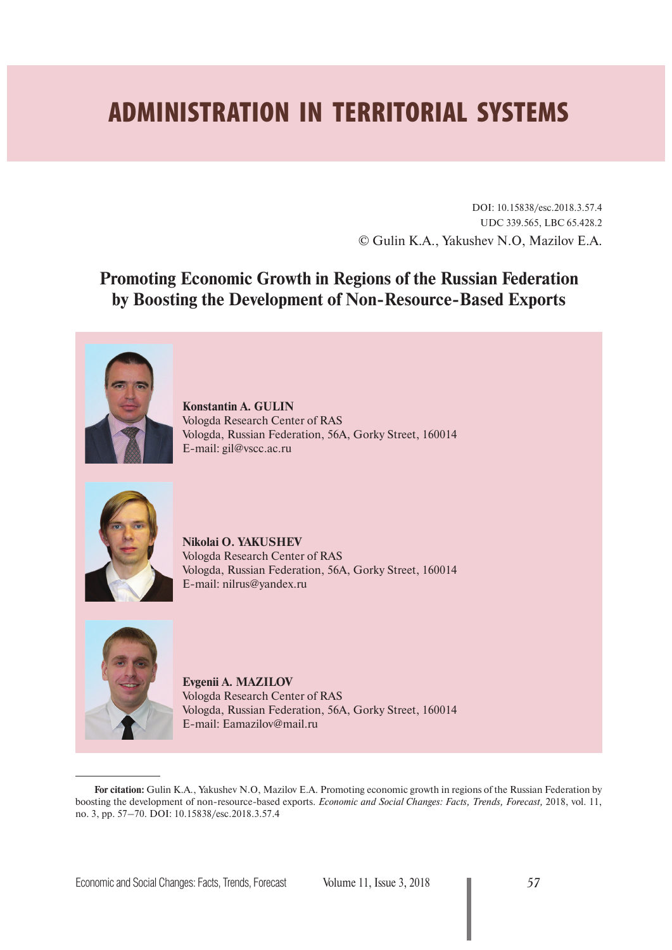# **ADMINISTRATION IN TERRITORIAL SYSTEMS**

DOI: 10.15838/esc.2018.3.57.4 UDC 339.565, LBC 65.428.2 © Gulin K.A., Yakushev N.O, Mazilov E.A.

**Promoting Economic Growth in Regions of the Russian Federation by Boosting the Development of Non-Resource-Based Exports**



**Konstantin A. GULIN** Vologda Research Center of RAS Vologda, Russian Federation, 56A, Gorky Street, 160014 E-mail: gil@vscc.ac.ru



**Nikolai O. YAKUSHEV** Vologda Research Center of RAS Vologda, Russian Federation, 56A, Gorky Street, 160014 E-mail: nilrus@yandex.ru



**Evgenii A. MAZILOV** Vologda Research Center of RAS Vologda, Russian Federation, 56A, Gorky Street, 160014 E-mail: Eamazilov@mail.ru

**For citation:** Gulin K.A., Yakushev N.O, Mazilov E.A. Promoting economic growth in regions of the Russian Federation by boosting the development of non-resource-based exports. *Economic and Social Changes: Facts, Trends, Forecast,* 2018, vol. 11, no. 3, pp. 57–70. DOI: 10.15838/esc.2018.3.57.4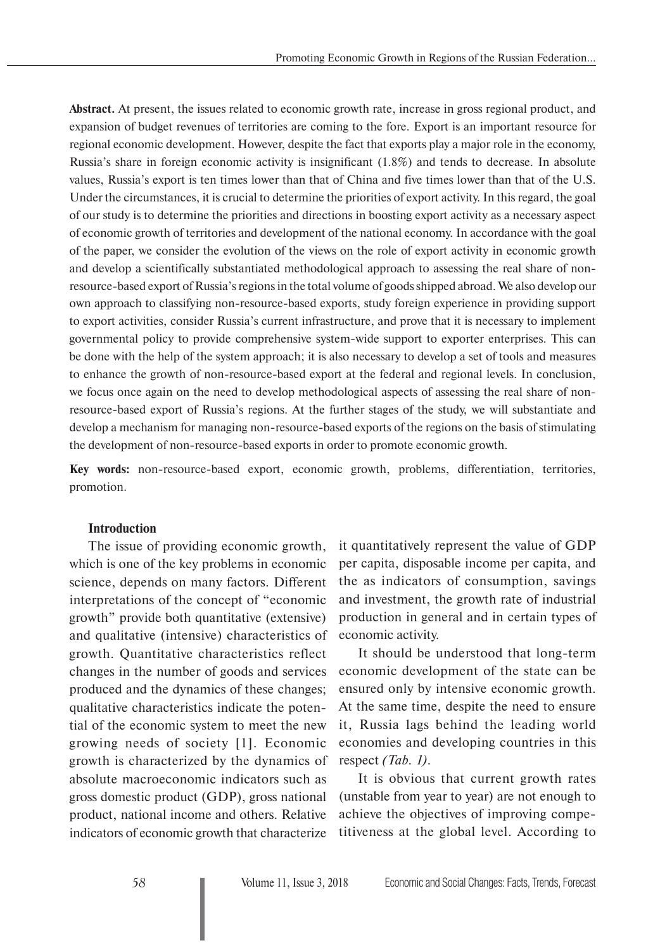**Abstract.** At present, the issues related to economic growth rate, increase in gross regional product, and expansion of budget revenues of territories are coming to the fore. Export is an important resource for regional economic development. However, despite the fact that exports play a major role in the economy, Russia's share in foreign economic activity is insignificant (1.8%) and tends to decrease. In absolute values, Russia's export is ten times lower than that of China and five times lower than that of the U.S. Under the circumstances, it is crucial to determine the priorities of export activity. In this regard, the goal of our study is to determine the priorities and directions in boosting export activity as a necessary aspect of economic growth of territories and development of the national economy. In accordance with the goal of the paper, we consider the evolution of the views on the role of export activity in economic growth and develop a scientifically substantiated methodological approach to assessing the real share of nonresource-based export of Russia's regions in the total volume of goods shipped abroad. We also develop our own approach to classifying non-resource-based exports, study foreign experience in providing support to export activities, consider Russia's current infrastructure, and prove that it is necessary to implement governmental policy to provide comprehensive system-wide support to exporter enterprises. This can be done with the help of the system approach; it is also necessary to develop a set of tools and measures to enhance the growth of non-resource-based export at the federal and regional levels. In conclusion, we focus once again on the need to develop methodological aspects of assessing the real share of nonresource-based export of Russia's regions. At the further stages of the study, we will substantiate and develop a mechanism for managing non-resource-based exports of the regions on the basis of stimulating the development of non-resource-based exports in order to promote economic growth.

**Key words:** non-resource-based export, economic growth, problems, differentiation, territories, promotion.

#### **Introduction**

The issue of providing economic growth, which is one of the key problems in economic science, depends on many factors. Different interpretations of the concept of "economic growth" provide both quantitative (extensive) and qualitative (intensive) characteristics of growth. Quantitative characteristics reflect changes in the number of goods and services produced and the dynamics of these changes; qualitative characteristics indicate the potential of the economic system to meet the new growing needs of society [1]. Economic growth is characterized by the dynamics of absolute macroeconomic indicators such as gross domestic product (GDP), gross national product, national income and others. Relative indicators of economic growth that characterize

it quantitatively represent the value of GDP per capita, disposable income per capita, and the as indicators of consumption, savings and investment, the growth rate of industrial production in general and in certain types of economic activity.

It should be understood that long-term economic development of the state can be ensured only by intensive economic growth. At the same time, despite the need to ensure it, Russia lags behind the leading world economies and developing countries in this respect *(Tab. 1)*.

It is obvious that current growth rates (unstable from year to year) are not enough to achieve the objectives of improving competitiveness at the global level. According to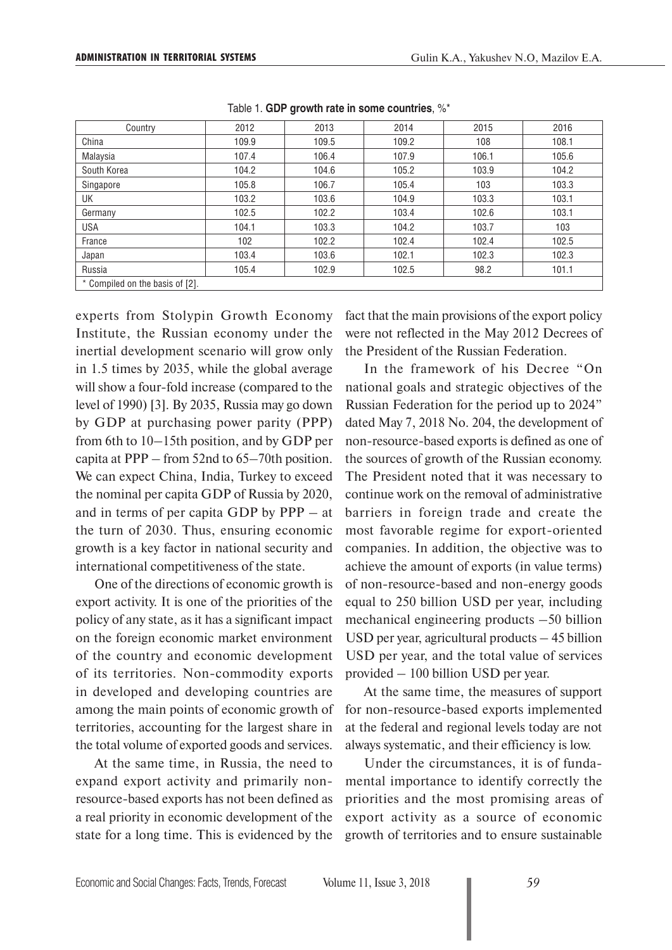| Country                         | 2012  | 2013  | 2014  | 2015  | 2016  |
|---------------------------------|-------|-------|-------|-------|-------|
| China                           | 109.9 | 109.5 | 109.2 | 108   | 108.1 |
| Malaysia                        | 107.4 | 106.4 | 107.9 | 106.1 | 105.6 |
| South Korea                     | 104.2 | 104.6 | 105.2 | 103.9 | 104.2 |
| Singapore                       | 105.8 | 106.7 | 105.4 | 103   | 103.3 |
| UK                              | 103.2 | 103.6 | 104.9 | 103.3 | 103.1 |
| Germany                         | 102.5 | 102.2 | 103.4 | 102.6 | 103.1 |
| <b>USA</b>                      | 104.1 | 103.3 | 104.2 | 103.7 | 103   |
| France                          | 102   | 102.2 | 102.4 | 102.4 | 102.5 |
| Japan                           | 103.4 | 103.6 | 102.1 | 102.3 | 102.3 |
| Russia                          | 105.4 | 102.9 | 102.5 | 98.2  | 101.1 |
| * Compiled on the basis of [2]. |       |       |       |       |       |

Table 1. **GDP growth rate in some countries**, %\*

experts from Stolypin Growth Economy Institute, the Russian economy under the inertial development scenario will grow only in 1.5 times by 2035, while the global average will show a four-fold increase (compared to the level of 1990) [3]. By 2035, Russia may go down by GDP at purchasing power parity (PPP) from 6th to 10–15th position, and by GDP per capita at PPP – from 52nd to 65–70th position. We can expect China, India, Turkey to exceed the nominal per capita GDP of Russia by 2020, and in terms of per capita GDP by PPP – at the turn of 2030. Thus, ensuring economic growth is a key factor in national security and international competitiveness of the state.

One of the directions of economic growth is export activity. It is one of the priorities of the policy of any state, as it has a significant impact on the foreign economic market environment of the country and economic development of its territories. Non-commodity exports in developed and developing countries are among the main points of economic growth of territories, accounting for the largest share in the total volume of exported goods and services.

At the same time, in Russia, the need to expand export activity and primarily nonresource-based exports has not been defined as a real priority in economic development of the state for a long time. This is evidenced by the fact that the main provisions of the export policy were not reflected in the May 2012 Decrees of the President of the Russian Federation.

In the framework of his Decree "On national goals and strategic objectives of the Russian Federation for the period up to 2024" dated May 7, 2018 No. 204, the development of non-resource-based exports is defined as one of the sources of growth of the Russian economy. The President noted that it was necessary to continue work on the removal of administrative barriers in foreign trade and create the most favorable regime for export-oriented companies. In addition, the objective was to achieve the amount of exports (in value terms) of non-resource-based and non-energy goods equal to 250 billion USD per year, including mechanical engineering products –50 billion USD per year, agricultural products – 45 billion USD per year, and the total value of services provided – 100 billion USD per year.

At the same time, the measures of support for non-resource-based exports implemented at the federal and regional levels today are not always systematic, and their efficiency is low.

Under the circumstances, it is of fundamental importance to identify correctly the priorities and the most promising areas of export activity as a source of economic growth of territories and to ensure sustainable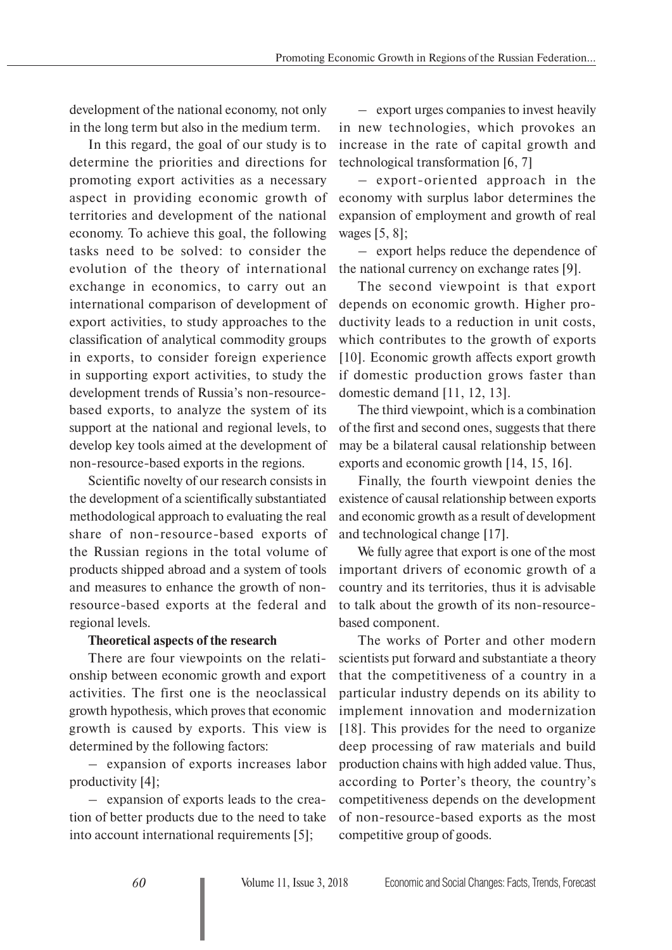development of the national economy, not only in the long term but also in the medium term.

In this regard, the goal of our study is to determine the priorities and directions for promoting export activities as a necessary aspect in providing economic growth of territories and development of the national economy. To achieve this goal, the following tasks need to be solved: to consider the evolution of the theory of international exchange in economics, to carry out an international comparison of development of export activities, to study approaches to the classification of analytical commodity groups in exports, to consider foreign experience in supporting export activities, to study the development trends of Russia's non-resourcebased exports, to analyze the system of its support at the national and regional levels, to develop key tools aimed at the development of non-resource-based exports in the regions.

Scientific novelty of our research consists in the development of a scientifically substantiated methodological approach to evaluating the real share of non-resource-based exports of the Russian regions in the total volume of products shipped abroad and a system of tools and measures to enhance the growth of nonresource-based exports at the federal and regional levels.

## **Theoretical aspects of the research**

There are four viewpoints on the relationship between economic growth and export activities. The first one is the neoclassical growth hypothesis, which proves that economic growth is caused by exports. This view is determined by the following factors:

– expansion of exports increases labor productivity [4];

– expansion of exports leads to the creation of better products due to the need to take into account international requirements [5];

– export urges companies to invest heavily in new technologies, which provokes an increase in the rate of capital growth and technological transformation [6, 7]

– export-oriented approach in the economy with surplus labor determines the expansion of employment and growth of real wages [5, 8];

– export helps reduce the dependence of the national currency on exchange rates [9].

The second viewpoint is that export depends on economic growth. Higher productivity leads to a reduction in unit costs, which contributes to the growth of exports [10]. Economic growth affects export growth if domestic production grows faster than domestic demand [11, 12, 13].

The third viewpoint, which is a combination of the first and second ones, suggests that there may be a bilateral causal relationship between exports and economic growth [14, 15, 16].

Finally, the fourth viewpoint denies the existence of causal relationship between exports and economic growth as a result of development and technological change [17].

We fully agree that export is one of the most important drivers of economic growth of a country and its territories, thus it is advisable to talk about the growth of its non-resourcebased component.

The works of Porter and other modern scientists put forward and substantiate a theory that the competitiveness of a country in a particular industry depends on its ability to implement innovation and modernization [18]. This provides for the need to organize deep processing of raw materials and build production chains with high added value. Thus, according to Porter's theory, the country's competitiveness depends on the development of non-resource-based exports as the most competitive group of goods.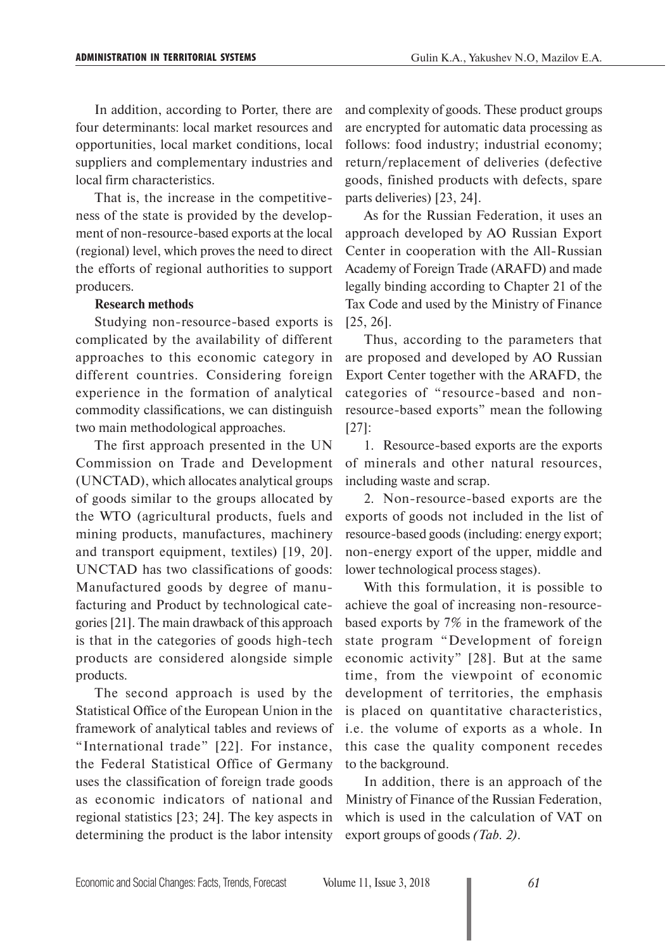In addition, according to Porter, there are four determinants: local market resources and opportunities, local market conditions, local suppliers and complementary industries and local firm characteristics.

That is, the increase in the competitiveness of the state is provided by the development of non-resource-based exports at the local (regional) level, which proves the need to direct the efforts of regional authorities to support producers.

#### **Research methods**

Studying non-resource-based exports is complicated by the availability of different approaches to this economic category in different countries. Considering foreign experience in the formation of analytical commodity classifications, we can distinguish two main methodological approaches.

The first approach presented in the UN Commission on Trade and Development (UNCTAD), which allocates analytical groups of goods similar to the groups allocated by the WTO (agricultural products, fuels and mining products, manufactures, machinery and transport equipment, textiles) [19, 20]. UNCTAD has two classifications of goods: Manufactured goods by degree of manufacturing and Product by technological categories [21]. The main drawback of this approach is that in the categories of goods high-tech products are considered alongside simple products.

The second approach is used by the Statistical Office of the European Union in the framework of analytical tables and reviews of "International trade" [22]. For instance, the Federal Statistical Office of Germany uses the classification of foreign trade goods as economic indicators of national and regional statistics [23; 24]. The key aspects in determining the product is the labor intensity

and complexity of goods. These product groups are encrypted for automatic data processing as follows: food industry; industrial economy; return/replacement of deliveries (defective goods, finished products with defects, spare parts deliveries) [23, 24].

As for the Russian Federation, it uses an approach developed by AO Russian Export Center in cooperation with the All-Russian Academy of Foreign Trade (ARAFD) and made legally binding according to Chapter 21 of the Tax Code and used by the Ministry of Finance [25, 26].

Thus, according to the parameters that are proposed and developed by AO Russian Export Center together with the ARAFD, the categories of "resource-based and nonresource-based exports" mean the following [27]:

1. Resource-based exports are the exports of minerals and other natural resources, including waste and scrap.

2. Non-resource-based exports are the exports of goods not included in the list of resource-based goods (including: energy export; non-energy export of the upper, middle and lower technological process stages).

With this formulation, it is possible to achieve the goal of increasing non-resourcebased exports by 7% in the framework of the state program "Development of foreign economic activity" [28]. But at the same time, from the viewpoint of economic development of territories, the emphasis is placed on quantitative characteristics, i.e. the volume of exports as a whole. In this case the quality component recedes to the background.

In addition, there is an approach of the Ministry of Finance of the Russian Federation, which is used in the calculation of VAT on export groups of goods *(Tab. 2)*.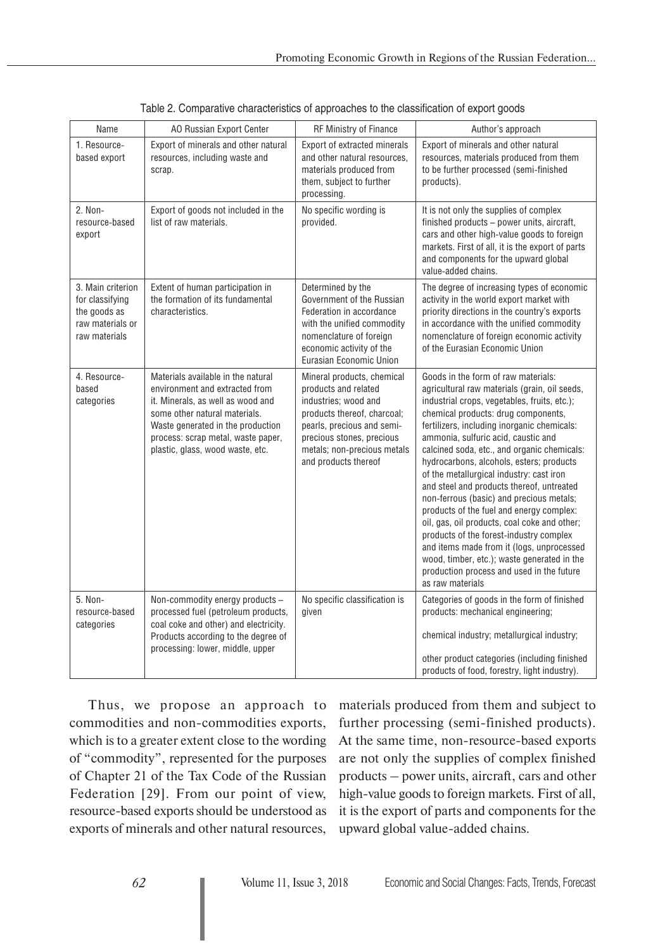| Name                                                                                      | AO Russian Export Center                                                                                                                                                                                                                                  | RF Ministry of Finance                                                                                                                                                                                                      | Author's approach                                                                                                                                                                                                                                                                                                                                                                                                                                                                                                                                                                                                                                                                                                                                                                                     |
|-------------------------------------------------------------------------------------------|-----------------------------------------------------------------------------------------------------------------------------------------------------------------------------------------------------------------------------------------------------------|-----------------------------------------------------------------------------------------------------------------------------------------------------------------------------------------------------------------------------|-------------------------------------------------------------------------------------------------------------------------------------------------------------------------------------------------------------------------------------------------------------------------------------------------------------------------------------------------------------------------------------------------------------------------------------------------------------------------------------------------------------------------------------------------------------------------------------------------------------------------------------------------------------------------------------------------------------------------------------------------------------------------------------------------------|
| 1. Resource-<br>based export                                                              | Export of minerals and other natural<br>resources, including waste and<br>scrap.                                                                                                                                                                          | Export of extracted minerals<br>and other natural resources,<br>materials produced from<br>them, subject to further<br>processing.                                                                                          | Export of minerals and other natural<br>resources, materials produced from them<br>to be further processed (semi-finished<br>products).                                                                                                                                                                                                                                                                                                                                                                                                                                                                                                                                                                                                                                                               |
| 2. Non-<br>resource-based<br>export                                                       | Export of goods not included in the<br>list of raw materials.                                                                                                                                                                                             | No specific wording is<br>provided.                                                                                                                                                                                         | It is not only the supplies of complex<br>finished products - power units, aircraft,<br>cars and other high-value goods to foreign<br>markets. First of all, it is the export of parts<br>and components for the upward global<br>value-added chains.                                                                                                                                                                                                                                                                                                                                                                                                                                                                                                                                                 |
| 3. Main criterion<br>for classifying<br>the goods as<br>raw materials or<br>raw materials | Extent of human participation in<br>the formation of its fundamental<br>characteristics.                                                                                                                                                                  | Determined by the<br>Government of the Russian<br>Federation in accordance<br>with the unified commodity<br>nomenclature of foreign<br>economic activity of the<br>Eurasian Economic Union                                  | The degree of increasing types of economic<br>activity in the world export market with<br>priority directions in the country's exports<br>in accordance with the unified commodity<br>nomenclature of foreign economic activity<br>of the Eurasian Economic Union                                                                                                                                                                                                                                                                                                                                                                                                                                                                                                                                     |
| 4. Resource-<br>based<br>categories                                                       | Materials available in the natural<br>environment and extracted from<br>it. Minerals, as well as wood and<br>some other natural materials.<br>Waste generated in the production<br>process: scrap metal, waste paper,<br>plastic, glass, wood waste, etc. | Mineral products, chemical<br>products and related<br>industries; wood and<br>products thereof, charcoal;<br>pearls, precious and semi-<br>precious stones, precious<br>metals; non-precious metals<br>and products thereof | Goods in the form of raw materials:<br>agricultural raw materials (grain, oil seeds,<br>industrial crops, vegetables, fruits, etc.);<br>chemical products: drug components,<br>fertilizers, including inorganic chemicals:<br>ammonia, sulfuric acid, caustic and<br>calcined soda, etc., and organic chemicals:<br>hydrocarbons, alcohols, esters; products<br>of the metallurgical industry: cast iron<br>and steel and products thereof, untreated<br>non-ferrous (basic) and precious metals;<br>products of the fuel and energy complex:<br>oil, gas, oil products, coal coke and other;<br>products of the forest-industry complex<br>and items made from it (logs, unprocessed<br>wood, timber, etc.); waste generated in the<br>production process and used in the future<br>as raw materials |
| 5. Non-<br>resource-based<br>categories                                                   | Non-commodity energy products -<br>processed fuel (petroleum products,<br>coal coke and other) and electricity.<br>Products according to the degree of<br>processing: lower, middle, upper                                                                | No specific classification is<br>given                                                                                                                                                                                      | Categories of goods in the form of finished<br>products: mechanical engineering;<br>chemical industry; metallurgical industry;<br>other product categories (including finished<br>products of food, forestry, light industry).                                                                                                                                                                                                                                                                                                                                                                                                                                                                                                                                                                        |

|  | Table 2. Comparative characteristics of approaches to the classification of export goods |  |  |  |
|--|------------------------------------------------------------------------------------------|--|--|--|
|  |                                                                                          |  |  |  |

Thus, we propose an approach to commodities and non-commodities exports, which is to a greater extent close to the wording of "commodity", represented for the purposes of Chapter 21 of the Tax Code of the Russian Federation [29]. From our point of view, resource-based exports should be understood as exports of minerals and other natural resources,

materials produced from them and subject to further processing (semi-finished products). At the same time, non-resource-based exports are not only the supplies of complex finished products – power units, aircraft, cars and other high-value goods to foreign markets. First of all, it is the export of parts and components for the upward global value-added chains.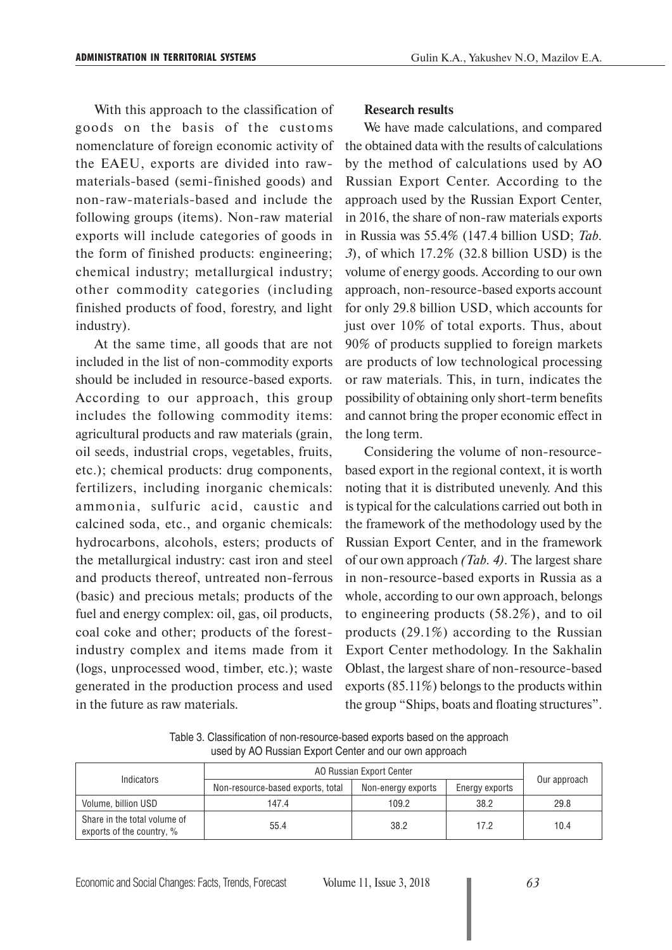With this approach to the classification of goods on the basis of the customs nomenclature of foreign economic activity of the EAEU, exports are divided into rawmaterials-based (semi-finished goods) and non-raw-materials-based and include the following groups (items). Non-raw material exports will include categories of goods in the form of finished products: engineering; chemical industry; metallurgical industry; other commodity categories (including finished products of food, forestry, and light industry).

At the same time, all goods that are not included in the list of non-commodity exports should be included in resource-based exports. According to our approach, this group includes the following commodity items: agricultural products and raw materials (grain, oil seeds, industrial crops, vegetables, fruits, etc.); chemical products: drug components, fertilizers, including inorganic chemicals: ammonia, sulfuric acid, caustic and calcined soda, etc., and organic chemicals: hydrocarbons, alcohols, esters; products of the metallurgical industry: cast iron and steel and products thereof, untreated non-ferrous (basic) and precious metals; products of the fuel and energy complex: oil, gas, oil products, coal coke and other; products of the forestindustry complex and items made from it (logs, unprocessed wood, timber, etc.); waste generated in the production process and used in the future as raw materials.

#### **Research results**

We have made calculations, and compared the obtained data with the results of calculations by the method of calculations used by AO Russian Export Center. According to the approach used by the Russian Export Center, in 2016, the share of non-raw materials exports in Russia was 55.4% (147.4 billion USD; *Tab. 3*), of which 17.2% (32.8 billion USD) is the volume of energy goods. According to our own approach, non-resource-based exports account for only 29.8 billion USD, which accounts for just over 10% of total exports. Thus, about 90% of products supplied to foreign markets are products of low technological processing or raw materials. This, in turn, indicates the possibility of obtaining only short-term benefits and cannot bring the proper economic effect in the long term.

Considering the volume of non-resourcebased export in the regional context, it is worth noting that it is distributed unevenly. And this is typical for the calculations carried out both in the framework of the methodology used by the Russian Export Center, and in the framework of our own approach *(Tab. 4)*. The largest share in non-resource-based exports in Russia as a whole, according to our own approach, belongs to engineering products (58.2%), and to oil products (29.1%) according to the Russian Export Center methodology. In the Sakhalin Oblast, the largest share of non-resource-based exports (85.11%) belongs to the products within the group "Ships, boats and floating structures".

Table 3. Classification of non-resource-based exports based on the approach used by AO Russian Export Center and our own approach

| Indicators                                                | AO Russian Export Center          |                    |                |              |  |
|-----------------------------------------------------------|-----------------------------------|--------------------|----------------|--------------|--|
|                                                           | Non-resource-based exports, total | Non-energy exports | Energy exports | Our approach |  |
| Volume, billion USD                                       | 147.4                             | 109.2              | 38.2           | 29.8         |  |
| Share in the total volume of<br>exports of the country, % | 55.4                              | 38.2               | 17.2           | 10.4         |  |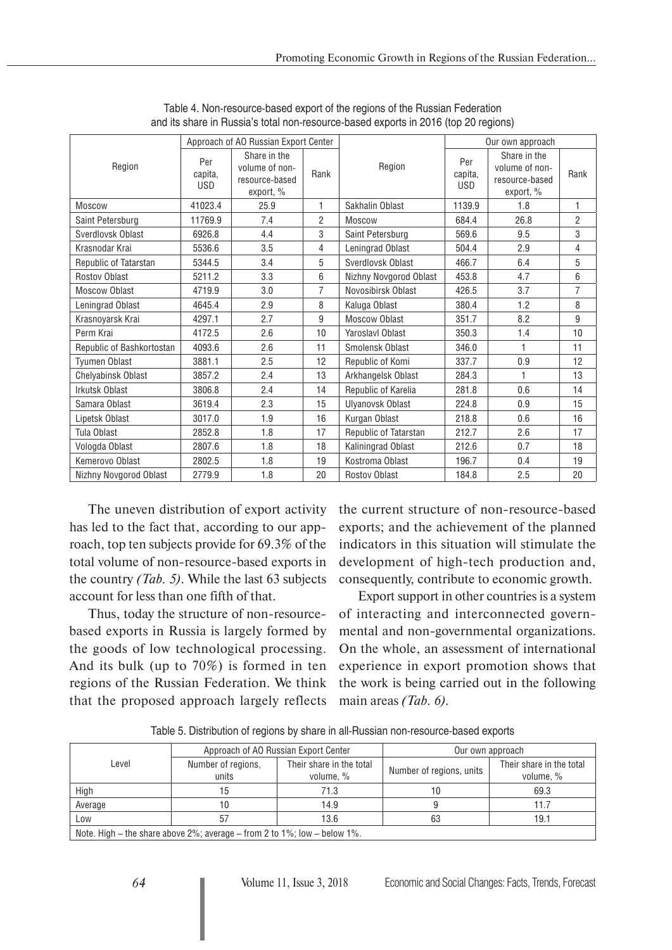|                           |                              | Approach of AO Russian Export Center                          |                |                         |                              | Our own approach                                              |                |
|---------------------------|------------------------------|---------------------------------------------------------------|----------------|-------------------------|------------------------------|---------------------------------------------------------------|----------------|
| Region                    | Per<br>capita,<br><b>USD</b> | Share in the<br>volume of non-<br>resource-based<br>export, % | Rank           | Region                  | Per<br>capita,<br><b>USD</b> | Share in the<br>volume of non-<br>resource-based<br>export, % | Rank           |
| <b>Moscow</b>             | 41023.4                      | 25.9                                                          | 1              | Sakhalin Oblast         | 1139.9                       | 1.8                                                           | $\mathbf{1}$   |
| Saint Petersburg          | 11769.9                      | 7.4                                                           | $\overline{2}$ | <b>Moscow</b>           | 684.4                        | 26.8                                                          | $\overline{2}$ |
| Sverdlovsk Oblast         | 6926.8                       | 4.4                                                           | 3              | Saint Petersburg        | 569.6                        | 9.5                                                           | 3              |
| Krasnodar Krai            | 5536.6                       | 3.5                                                           | 4              | Leningrad Oblast        | 504.4                        | 2.9                                                           | 4              |
| Republic of Tatarstan     | 5344.5                       | 3.4                                                           | 5              | Sverdlovsk Oblast       | 466.7                        | 6.4                                                           | 5              |
| <b>Rostov Oblast</b>      | 5211.2                       | 3.3                                                           | 6              | Nizhny Novgorod Oblast  | 453.8                        | 4.7                                                           | 6              |
| Moscow Oblast             | 4719.9                       | 3.0                                                           | $\overline{7}$ | Novosibirsk Oblast      | 426.5                        | 3.7                                                           | $\overline{7}$ |
| Leningrad Oblast          | 4645.4                       | 2.9                                                           | 8              | Kaluga Oblast           | 380.4                        | 1.2                                                           | 8              |
| Krasnoyarsk Krai          | 4297.1                       | 2.7                                                           | 9              | Moscow Oblast           | 351.7                        | 8.2                                                           | 9              |
| Perm Krai                 | 4172.5                       | 2.6                                                           | 10             | <b>Yaroslavl Oblast</b> | 350.3                        | 1.4                                                           | 10             |
| Republic of Bashkortostan | 4093.6                       | 2.6                                                           | 11             | Smolensk Oblast         | 346.0                        | 1                                                             | 11             |
| Tyumen Oblast             | 3881.1                       | 2.5                                                           | 12             | Republic of Komi        | 337.7                        | 0.9                                                           | 12             |
| <b>Chelvabinsk Oblast</b> | 3857.2                       | 2.4                                                           | 13             | Arkhangelsk Oblast      | 284.3                        | 1                                                             | 13             |
| <b>Irkutsk Oblast</b>     | 3806.8                       | 2.4                                                           | 14             | Republic of Karelia     | 281.8                        | 0.6                                                           | 14             |
| Samara Oblast             | 3619.4                       | 2.3                                                           | 15             | Ulyanovsk Oblast        | 224.8                        | 0.9                                                           | 15             |
| Lipetsk Oblast            | 3017.0                       | 1.9                                                           | 16             | Kurgan Oblast           | 218.8                        | 0.6                                                           | 16             |
| Tula Oblast               | 2852.8                       | 1.8                                                           | 17             | Republic of Tatarstan   | 212.7                        | 2.6                                                           | 17             |
| Vologda Oblast            | 2807.6                       | 1.8                                                           | 18             | Kaliningrad Oblast      | 212.6                        | 0.7                                                           | 18             |
| Kemerovo Oblast           | 2802.5                       | 1.8                                                           | 19             | Kostroma Oblast         | 196.7                        | 0.4                                                           | 19             |
| Nizhny Novgorod Oblast    | 2779.9                       | 1.8                                                           | 20             | <b>Rostov Oblast</b>    | 184.8                        | 2.5                                                           | 20             |

Table 4. Non-resource-based export of the regions of the Russian Federation and its share in Russia's total non-resource-based exports in 2016 (top 20 regions)

The uneven distribution of export activity has led to the fact that, according to our approach, top ten subjects provide for 69.3% of the total volume of non-resource-based exports in the country *(Tab. 5)*. While the last 63 subjects account for less than one fifth of that.

Thus, today the structure of non-resourcebased exports in Russia is largely formed by the goods of low technological processing. And its bulk (up to 70%) is formed in ten regions of the Russian Federation. We think that the proposed approach largely reflects

the current structure of non-resource-based exports; and the achievement of the planned indicators in this situation will stimulate the development of high-tech production and, consequently, contribute to economic growth.

Export support in other countries is a system of interacting and interconnected govern mental and non-governmental organizations. On the whole, an assessment of international experience in export promotion shows that the work is being carried out in the following main areas *(Tab. 6).*

Table 5. Distribution of regions by share in all-Russian non-resource-based exports

|                                                                                    |                             | Approach of AO Russian Export Center  | Our own approach         |                                       |  |  |  |
|------------------------------------------------------------------------------------|-----------------------------|---------------------------------------|--------------------------|---------------------------------------|--|--|--|
| Level                                                                              | Number of regions,<br>units | Their share in the total<br>volume, % | Number of regions, units | Their share in the total<br>volume, % |  |  |  |
| High                                                                               |                             | 71.3                                  |                          | 69.3                                  |  |  |  |
| Average                                                                            | 10                          | 14.9                                  |                          |                                       |  |  |  |
| Low                                                                                |                             | 13.6                                  | 63                       | 19.1                                  |  |  |  |
| Note, High – the share above $2\%$ ; average – from 2 to $1\%$ ; low – below $1\%$ |                             |                                       |                          |                                       |  |  |  |

Note. High – the share above 2%; average – from 2 to 1%; low – below 1%.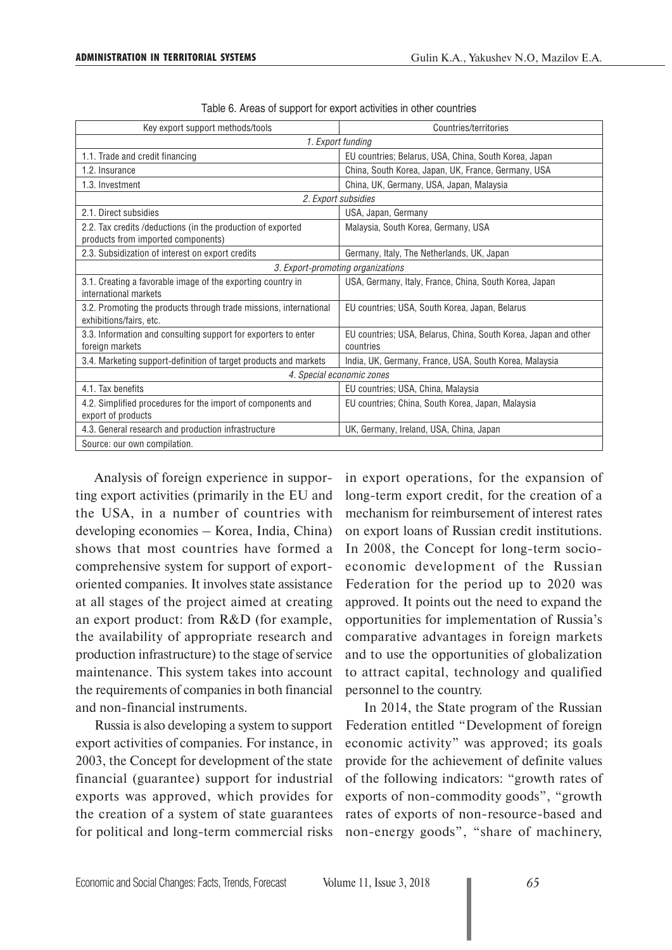| Key export support methods/tools                                                                 | Countries/territories                                                        |  |  |  |  |
|--------------------------------------------------------------------------------------------------|------------------------------------------------------------------------------|--|--|--|--|
|                                                                                                  | 1. Export funding                                                            |  |  |  |  |
| 1.1. Trade and credit financing                                                                  | EU countries; Belarus, USA, China, South Korea, Japan                        |  |  |  |  |
| 1.2. Insurance                                                                                   | China, South Korea, Japan, UK, France, Germany, USA                          |  |  |  |  |
| 1.3. Investment                                                                                  | China, UK, Germany, USA, Japan, Malaysia                                     |  |  |  |  |
|                                                                                                  | 2. Export subsidies                                                          |  |  |  |  |
| 2.1. Direct subsidies                                                                            | USA, Japan, Germany                                                          |  |  |  |  |
| 2.2. Tax credits/deductions (in the production of exported<br>products from imported components) | Malaysia, South Korea, Germany, USA                                          |  |  |  |  |
| 2.3. Subsidization of interest on export credits                                                 | Germany, Italy, The Netherlands, UK, Japan                                   |  |  |  |  |
|                                                                                                  | 3. Export-promoting organizations                                            |  |  |  |  |
| 3.1. Creating a favorable image of the exporting country in<br>international markets             | USA, Germany, Italy, France, China, South Korea, Japan                       |  |  |  |  |
| 3.2. Promoting the products through trade missions, international<br>exhibitions/fairs, etc.     | EU countries; USA, South Korea, Japan, Belarus                               |  |  |  |  |
| 3.3. Information and consulting support for exporters to enter<br>foreign markets                | EU countries; USA, Belarus, China, South Korea, Japan and other<br>countries |  |  |  |  |
| 3.4. Marketing support-definition of target products and markets                                 | India, UK, Germany, France, USA, South Korea, Malaysia                       |  |  |  |  |
| 4. Special economic zones                                                                        |                                                                              |  |  |  |  |
| 4.1. Tax benefits                                                                                | EU countries; USA, China, Malaysia                                           |  |  |  |  |
| 4.2. Simplified procedures for the import of components and<br>export of products                | EU countries; China, South Korea, Japan, Malaysia                            |  |  |  |  |
| 4.3. General research and production infrastructure                                              | UK, Germany, Ireland, USA, China, Japan                                      |  |  |  |  |
| Source: our own compilation.                                                                     |                                                                              |  |  |  |  |

| Table 6. Areas of support for export activities in other countries |  |  |  |  |  |  |  |  |  |  |
|--------------------------------------------------------------------|--|--|--|--|--|--|--|--|--|--|
|--------------------------------------------------------------------|--|--|--|--|--|--|--|--|--|--|

Analysis of foreign experience in supporting export activities (primarily in the EU and the USA, in a number of countries with developing economies – Korea, India, China) shows that most countries have formed a comprehensive system for support of exportoriented companies. It involves state assistance at all stages of the project aimed at creating an export product: from R&D (for example, the availability of appropriate research and production infrastructure) to the stage of service maintenance. This system takes into account the requirements of companies in both financial and non-financial instruments.

Russia is also developing a system to support export activities of companies. For instance, in 2003, the Concept for development of the state financial (guarantee) support for industrial exports was approved, which provides for the creation of a system of state guarantees for political and long-term commercial risks in export operations, for the expansion of long-term export credit, for the creation of a mechanism for reimbursement of interest rates on export loans of Russian credit institutions. In 2008, the Concept for long-term socioeconomic development of the Russian Federation for the period up to 2020 was approved. It points out the need to expand the opportunities for implementation of Russia's comparative advantages in foreign markets and to use the opportunities of globalization to attract capital, technology and qualified personnel to the country.

In 2014, the State program of the Russian Federation entitled "Development of foreign economic activity" was approved; its goals provide for the achievement of definite values of the following indicators: "growth rates of exports of non-commodity goods", "growth rates of exports of non-resource-based and non-energy goods", "share of machinery,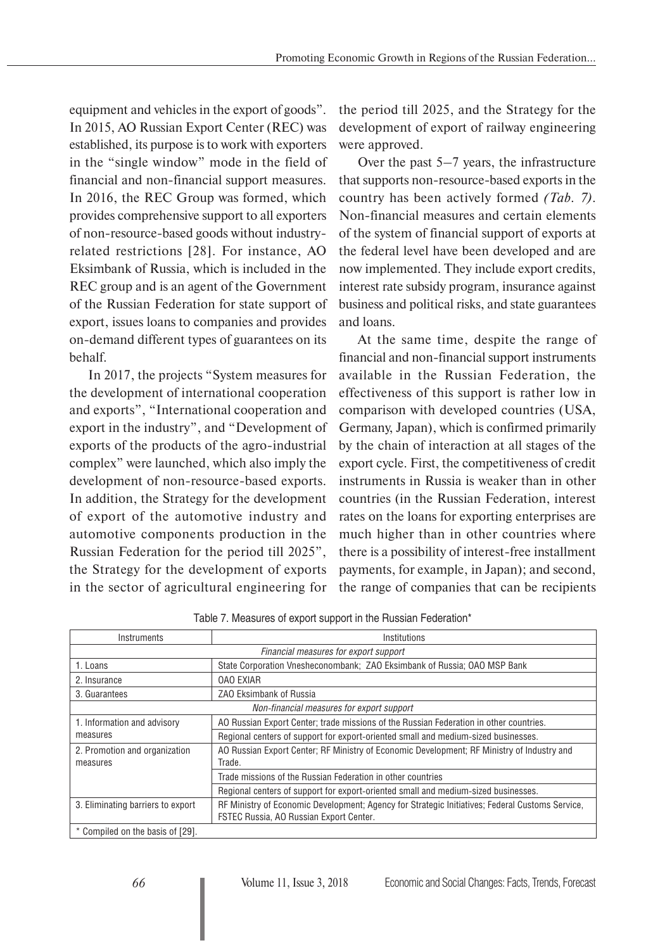equipment and vehicles in the export of goods". In 2015, AO Russian Export Center (REC) was established, its purpose is to work with exporters in the "single window" mode in the field of financial and non-financial support measures. In 2016, the REC Group was formed, which provides comprehensive support to all exporters of non-resource-based goods without industryrelated restrictions [28]. For instance, AO Eksimbank of Russia, which is included in the REC group and is an agent of the Government of the Russian Federation for state support of export, issues loans to companies and provides on-demand different types of guarantees on its behalf.

In 2017, the projects "System measures for the development of international cooperation and exports", "International cooperation and export in the industry", and "Development of exports of the products of the agro-industrial complex" were launched, which also imply the development of non-resource-based exports. In addition, the Strategy for the development of export of the automotive industry and automotive components production in the Russian Federation for the period till 2025", the Strategy for the development of exports in the sector of agricultural engineering for

the period till 2025, and the Strategy for the development of export of railway engineering were approved.

Over the past 5–7 years, the infrastructure that supports non-resource-based exports in the country has been actively formed *(Tab. 7)*. Non-financial measures and certain elements of the system of financial support of exports at the federal level have been developed and are now implemented. They include export credits, interest rate subsidy program, insurance against business and political risks, and state guarantees and loans.

At the same time, despite the range of financial and non-financial support instruments available in the Russian Federation, the effectiveness of this support is rather low in comparison with developed countries (USA, Germany, Japan), which is confirmed primarily by the chain of interaction at all stages of the export cycle. First, the competitiveness of credit instruments in Russia is weaker than in other countries (in the Russian Federation, interest rates on the loans for exporting enterprises are much higher than in other countries where there is a possibility of interest-free installment payments, for example, in Japan); and second, the range of companies that can be recipients

| Instruments                               | Institutions                                                                                                                               |  |  |  |  |
|-------------------------------------------|--------------------------------------------------------------------------------------------------------------------------------------------|--|--|--|--|
|                                           | Financial measures for export support                                                                                                      |  |  |  |  |
| 1. Loans                                  | State Corporation Vnesheconombank: ZAO Eksimbank of Russia; OAO MSP Bank                                                                   |  |  |  |  |
| 2. Insurance                              | <b>OAO EXIAR</b>                                                                                                                           |  |  |  |  |
| 3. Guarantees                             | ZAO Eksimbank of Russia                                                                                                                    |  |  |  |  |
|                                           | Non-financial measures for export support                                                                                                  |  |  |  |  |
| 1. Information and advisory               | AO Russian Export Center; trade missions of the Russian Federation in other countries.                                                     |  |  |  |  |
| measures                                  | Regional centers of support for export-oriented small and medium-sized businesses.                                                         |  |  |  |  |
| 2. Promotion and organization<br>measures | AO Russian Export Center; RF Ministry of Economic Development; RF Ministry of Industry and<br>Trade.                                       |  |  |  |  |
|                                           | Trade missions of the Russian Federation in other countries                                                                                |  |  |  |  |
|                                           | Regional centers of support for export-oriented small and medium-sized businesses.                                                         |  |  |  |  |
| 3. Eliminating barriers to export         | RF Ministry of Economic Development; Agency for Strategic Initiatives; Federal Customs Service,<br>FSTEC Russia, AO Russian Export Center. |  |  |  |  |
| * Compiled on the basis of [29].          |                                                                                                                                            |  |  |  |  |

Table 7. Measures of export support in the Russian Federation\*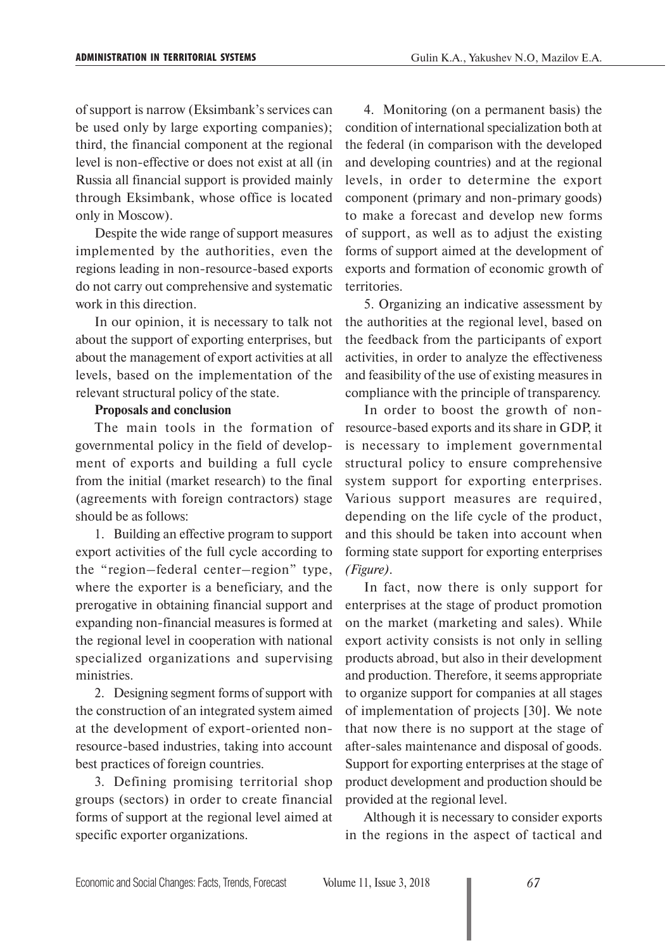of support is narrow (Eksimbank's services can be used only by large exporting companies); third, the financial component at the regional level is non-effective or does not exist at all (in Russia all financial support is provided mainly through Eksimbank, whose office is located only in Moscow).

Despite the wide range of support measures implemented by the authorities, even the regions leading in non-resource-based exports do not carry out comprehensive and systematic work in this direction.

In our opinion, it is necessary to talk not about the support of exporting enterprises, but about the management of export activities at all levels, based on the implementation of the relevant structural policy of the state.

#### **Proposals and conclusion**

The main tools in the formation of governmental policy in the field of develop ment of exports and building a full cycle from the initial (market research) to the final (agreements with foreign contractors) stage should be as follows:

1. Building an effective program to support export activities of the full cycle according to the "region–federal center–region" type, where the exporter is a beneficiary, and the prerogative in obtaining financial support and expanding non-financial measures is formed at the regional level in cooperation with national specialized organizations and supervising ministries.

2. Designing segment forms of support with the construction of an integrated system aimed at the development of export-oriented nonresource-based industries, taking into account best practices of foreign countries.

3. Defining promising territorial shop groups (sectors) in order to create financial forms of support at the regional level aimed at specific exporter organizations.

4. Monitoring (on a permanent basis) the condition of international specialization both at the federal (in comparison with the developed and developing countries) and at the regional levels, in order to determine the export component (primary and non-primary goods) to make a forecast and develop new forms of support, as well as to adjust the existing forms of support aimed at the development of exports and formation of economic growth of territories.

5. Organizing an indicative assessment by the authorities at the regional level, based on the feedback from the participants of export activities, in order to analyze the effectiveness and feasibility of the use of existing measures in compliance with the principle of transparency.

In order to boost the growth of nonresource-based exports and its share in GDP, it is necessary to implement governmental structural policy to ensure comprehensive system support for exporting enterprises. Various support measures are required, depending on the life cycle of the product, and this should be taken into account when forming state support for exporting enterprises *(Figure)*.

In fact, now there is only support for enterprises at the stage of product promotion on the market (marketing and sales). While export activity consists is not only in selling products abroad, but also in their development and production. Therefore, it seems appropriate to organize support for companies at all stages of implementation of projects [30]. We note that now there is no support at the stage of after-sales maintenance and disposal of goods. Support for exporting enterprises at the stage of product development and production should be provided at the regional level.

Although it is necessary to consider exports in the regions in the aspect of tactical and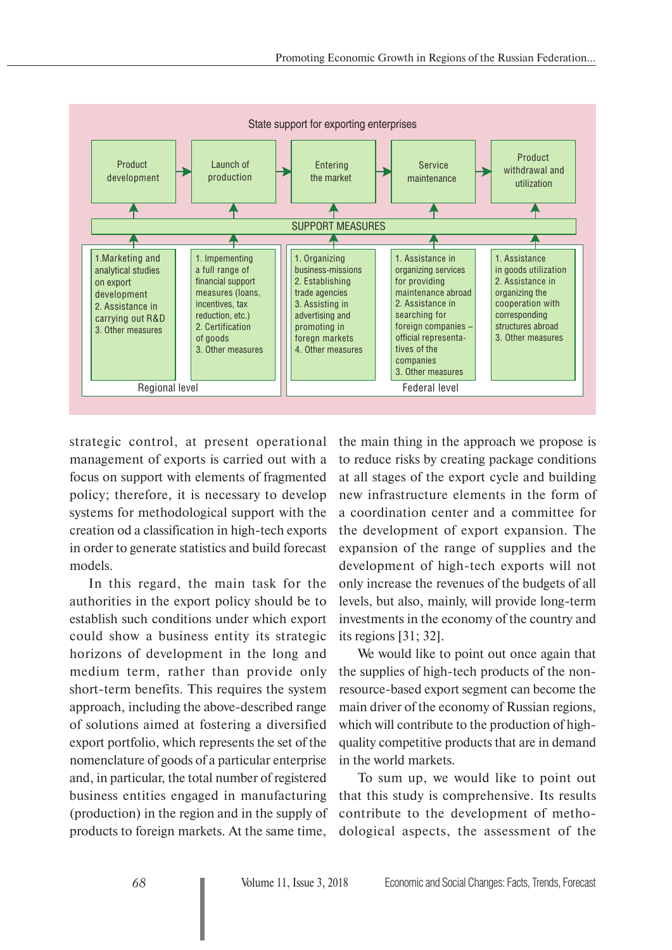

strategic control, at present operational management of exports is carried out with a focus on support with elements of fragmented policy; therefore, it is necessary to develop systems for methodological support with the creation od a classification in high-tech exports in order to generate statistics and build forecast models.

In this regard, the main task for the authorities in the export policy should be to establish such conditions under which export could show a business entity its strategic horizons of development in the long and medium term, rather than provide only short-term benefits. This requires the system approach, including the above-described range of solutions aimed at fostering a diversified export portfolio, which represents the set of the nomenclature of goods of a particular enterprise and, in particular, the total number of registered business entities engaged in manufacturing (production) in the region and in the supply of products to foreign markets. At the same time,

the main thing in the approach we propose is to reduce risks by creating package conditions at all stages of the export cycle and building new infrastructure elements in the form of a coordination center and a committee for the development of export expansion. The expansion of the range of supplies and the development of high-tech exports will not only increase the revenues of the budgets of all levels, but also, mainly, will provide long-term investments in the economy of the country and its regions [31; 32].

We would like to point out once again that the supplies of high-tech products of the nonresource-based export segment can become the main driver of the economy of Russian regions, which will contribute to the production of highquality competitive products that are in demand in the world markets.

To sum up, we would like to point out that this study is comprehensive. Its results contribute to the development of methodological aspects, the assessment of the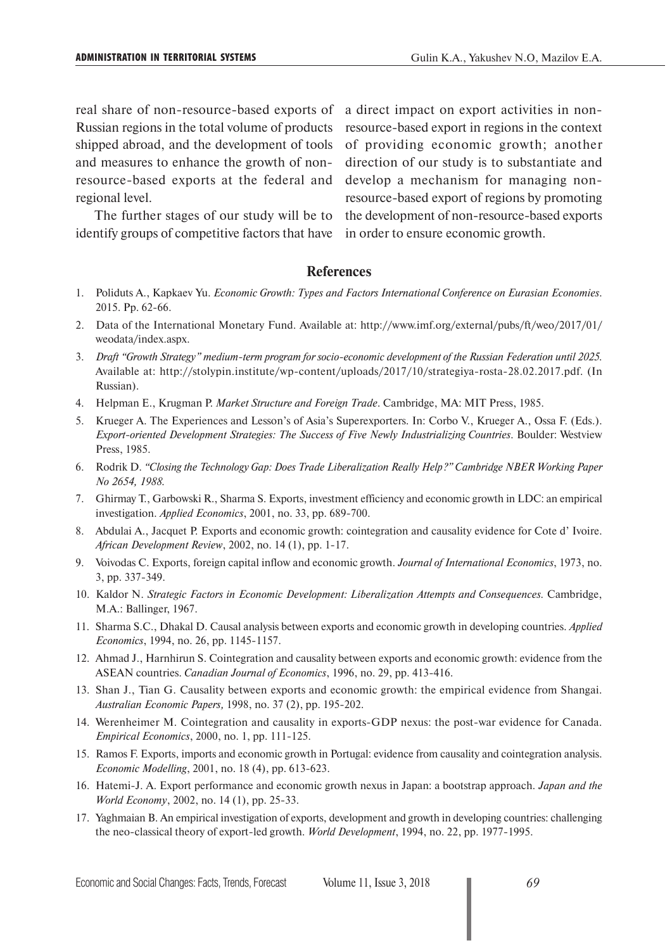and measures to enhance the growth of nonresource-based exports at the federal and develop a mechanism for managing nonregional level.

identify groups of competitive factors that have in order to ensure economic growth.

real share of non-resource-based exports of a direct impact on export activities in non-Russian regions in the total volume of products resource-based export in regions in the context shipped abroad, and the development of tools of providing economic growth; another The further stages of our study will be to the development of non-resource-based exports direction of our study is to substantiate and resource-based export of regions by promoting

### **References**

- 1. Poliduts A., Kapkaev Yu. *Economic Growth: Types and Factors International Conference on Eurasian Economies*. 2015. Pp. 62-66.
- 2. Data of the International Monetary Fund. Available at: http://www.imf.org/external/pubs/ft/weo/2017/01/ weodata/index.aspx.
- 3. *Draft "Growth Strategy" medium-term program for socio-economic development of the Russian Federation until 2025.* Available at: http://stolypin.institute/wp-content/uploads/2017/10/strategiya-rosta-28.02.2017.pdf. (In Russian).
- 4. Helpman E., Krugman P. *Market Structure and Foreign Trade*. Cambridge, MA: MIT Press, 1985.
- 5. Krueger A. The Experiences and Lesson's of Asia's Superexporters. In: Corbo V., Krueger A., Ossa F. (Eds.). *Export-oriented Development Strategies: The Success of Five Newly Industrializing Countries*. Boulder: Westview Press, 1985.
- 6. Rodrik D. *"Closing the Technology Gap: Does Trade Liberalization Really Help?" Cambridge NBER Working Paper No 2654, 1988.*
- 7. Ghirmay T., Garbowski R., Sharma S. Exports, investment efficiency and economic growth in LDC: an empirical investigation. *Applied Economics*, 2001, no. 33, pp. 689-700.
- 8. Abdulai A., Jacquet P. Exports and economic growth: cointegration and causality evidence for Cote d' Ivoire. *African Development Review*, 2002, no. 14 (1), pp. 1-17.
- 9. Voivodas C. Exports, foreign capital inflow and economic growth. *Journal of International Economics*, 1973, no. 3, pp. 337-349.
- 10. Kaldor N. *Strategic Factors in Economic Development: Liberalization Attempts and Consequences.* Cambridge, M.A.: Ballinger, 1967.
- 11. Sharma S.C., Dhakal D. Causal analysis between exports and economic growth in developing countries. *Applied Economics*, 1994, no. 26, pp. 1145-1157.
- 12. Ahmad J., Harnhirun S. Cointegration and causality between exports and economic growth: evidence from the ASEAN countries. *Canadian Journal of Economics*, 1996, no. 29, pp. 413-416.
- 13. Shan J., Tian G. Causality between exports and economic growth: the empirical evidence from Shangai. *Australian Economic Papers,* 1998, no. 37 (2), pp. 195-202.
- 14. Werenheimer M. Cointegration and causality in exports-GDP nexus: the post-war evidence for Canada. *Empirical Economics*, 2000, no. 1, pp. 111-125.
- 15. Ramos F. Exports, imports and economic growth in Portugal: evidence from causality and cointegration analysis. *Economic Modelling*, 2001, no. 18 (4), pp. 613-623.
- 16. Hatemi-J. A. Export performance and economic growth nexus in Japan: a bootstrap approach. *Japan and the World Economy*, 2002, no. 14 (1), pp. 25-33.
- 17. Yaghmaian B. An empirical investigation of exports, development and growth in developing countries: challenging the neo-classical theory of export-led growth. *World Development*, 1994, no. 22, pp. 1977-1995.